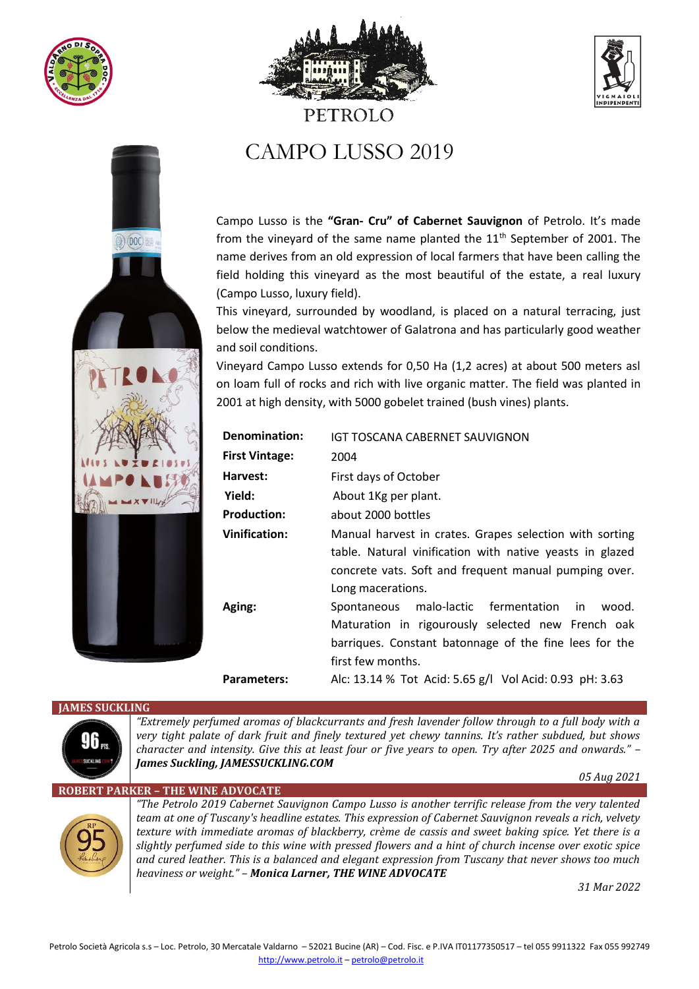







# CAMPO LUSSO 2019

PETROLO

Campo Lusso is the **"Gran- Cru" of Cabernet Sauvignon** of Petrolo. It's made from the vineyard of the same name planted the  $11<sup>th</sup>$  September of 2001. The name derives from an old expression of local farmers that have been calling the field holding this vineyard as the most beautiful of the estate, a real luxury (Campo Lusso, luxury field).

This vineyard, surrounded by woodland, is placed on a natural terracing, just below the medieval watchtower of Galatrona and has particularly good weather and soil conditions.

Vineyard Campo Lusso extends for 0,50 Ha (1,2 acres) at about 500 meters asl on loam full of rocks and rich with live organic matter. The field was planted in 2001 at high density, with 5000 gobelet trained (bush vines) plants.

| <b>Denomination:</b>  | IGT TOSCANA CABERNET SAUVIGNON                           |
|-----------------------|----------------------------------------------------------|
| <b>First Vintage:</b> | 2004                                                     |
| Harvest:              | First days of October                                    |
| Yield:                | About 1Kg per plant.                                     |
| <b>Production:</b>    | about 2000 bottles                                       |
| <b>Vinification:</b>  | Manual harvest in crates. Grapes selection with sorting  |
|                       | table. Natural vinification with native yeasts in glazed |
|                       | concrete vats. Soft and frequent manual pumping over.    |
|                       | Long macerations.                                        |
| Aging:                | Spontaneous malo-lactic fermentation<br>wood.<br>in.     |
|                       | Maturation in rigourously selected new French oak        |
|                       | barriques. Constant batonnage of the fine lees for the   |
|                       | first few months.                                        |
| Parameters:           | Alc: 13.14 % Tot Acid: 5.65 g/l Vol Acid: 0.93 pH: 3.63  |

## **JAMES SUCKLING**



*"Extremely perfumed aromas of blackcurrants and fresh lavender follow through to a full body with a very tight palate of dark fruit and finely textured yet chewy tannins. It's rather subdued, but shows character and intensity. Give this at least four or five years to open. Try after 2025 and onwards." – James Suckling, JAMESSUCKLING.COM* 

 *05 Aug 2021*

## **ROBERT PARKER – THE WINE ADVOCATE**



*"The Petrolo 2019 Cabernet Sauvignon Campo Lusso is another terrific release from the very talented team at one of Tuscany's headline estates. This expression of Cabernet Sauvignon reveals a rich, velvety texture with immediate aromas of blackberry, crème de cassis and sweet baking spice. Yet there is a slightly perfumed side to this wine with pressed flowers and a hint of church incense over exotic spice and cured leather. This is a balanced and elegant expression from Tuscany that never shows too much heaviness or weight." – Monica Larner, THE WINE ADVOCATE*

*31 Mar 2022*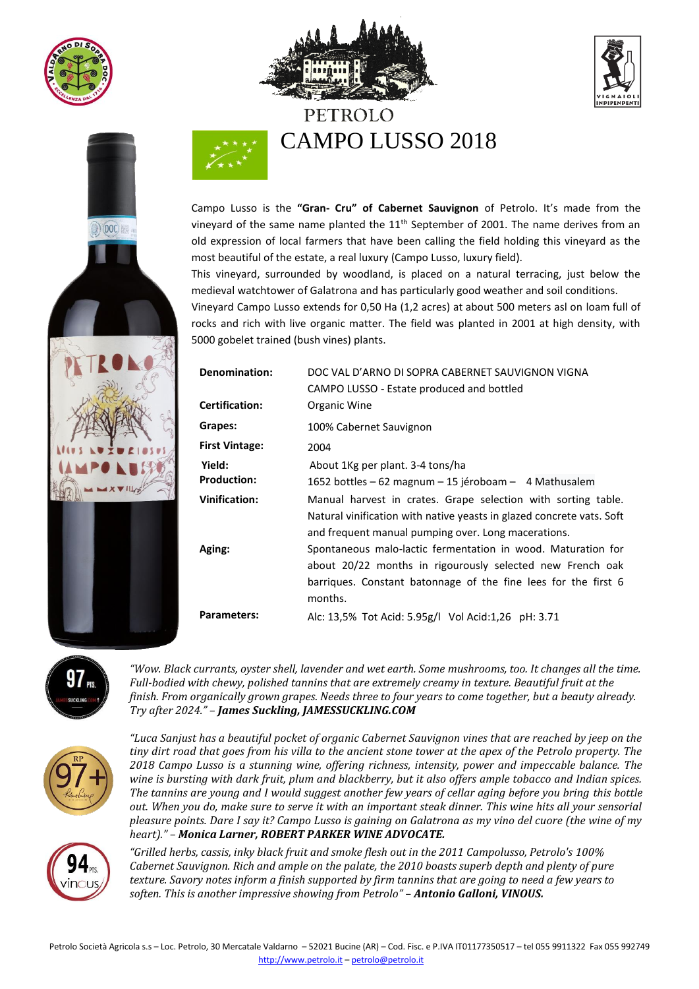

 $(1)$  DOC







Campo Lusso is the **"Gran- Cru" of Cabernet Sauvignon** of Petrolo. It's made from the vineyard of the same name planted the 11<sup>th</sup> September of 2001. The name derives from an old expression of local farmers that have been calling the field holding this vineyard as the most beautiful of the estate, a real luxury (Campo Lusso, luxury field).

This vineyard, surrounded by woodland, is placed on a natural terracing, just below the medieval watchtower of Galatrona and has particularly good weather and soil conditions. Vineyard Campo Lusso extends for 0,50 Ha (1,2 acres) at about 500 meters asl on loam full of rocks and rich with live organic matter. The field was planted in 2001 at high density, with 5000 gobelet trained (bush vines) plants.

| <b>Denomination:</b><br>Certification: | DOC VAL D'ARNO DI SOPRA CABERNET SAUVIGNON VIGNA<br>CAMPO LUSSO - Estate produced and bottled<br>Organic Wine                                                                                          |
|----------------------------------------|--------------------------------------------------------------------------------------------------------------------------------------------------------------------------------------------------------|
| Grapes:<br><b>First Vintage:</b>       | 100% Cabernet Sauvignon<br>2004                                                                                                                                                                        |
| Yield:<br><b>Production:</b>           | About 1Kg per plant. 3-4 tons/ha<br>1652 bottles – 62 magnum – 15 jéroboam – 4 Mathusalem                                                                                                              |
| Vinification:                          | Manual harvest in crates. Grape selection with sorting table.<br>Natural vinification with native yeasts in glazed concrete vats. Soft<br>and frequent manual pumping over. Long macerations.          |
| Aging:                                 | Spontaneous malo-lactic fermentation in wood. Maturation for<br>about 20/22 months in rigourously selected new French oak<br>barriques. Constant batonnage of the fine lees for the first 6<br>months. |
| <b>Parameters:</b>                     | Alc: 13,5% Tot Acid: 5.95g/l Vol Acid: 1,26 pH: 3.71                                                                                                                                                   |



*"Wow. Black currants, oyster shell, lavender and wet earth. Some mushrooms, too. It changes all the time. Full-bodied with chewy, polished tannins that are extremely creamy in texture. Beautiful fruit at the finish. From organically grown grapes. Needs three to four years to come together, but a beauty already. Try after 2024." – James Suckling, JAMESSUCKLING.COM*



*"Luca Sanjust has a beautiful pocket of organic Cabernet Sauvignon vines that are reached by jeep on the tiny dirt road that goes from his villa to the ancient stone tower at the apex of the Petrolo property. The 2018 Campo Lusso is a stunning wine, offering richness, intensity, power and impeccable balance. The wine is bursting with dark fruit, plum and blackberry, but it also offers ample tobacco and Indian spices. The tannins are young and I would suggest another few years of cellar aging before you bring this bottle out. When you do, make sure to serve it with an important steak dinner. This wine hits all your sensorial pleasure points. Dare I say it? Campo Lusso is gaining on Galatrona as my vino del cuore (the wine of my heart)." – Monica Larner, ROBERT PARKER WINE ADVOCATE.*



*"Grilled herbs, cassis, inky black fruit and smoke flesh out in the 2011 Campolusso, Petrolo's 100% Cabernet Sauvignon. Rich and ample on the palate, the 2010 boasts superb depth and plenty of pure texture. Savory notes inform a finish supported by firm tannins that are going to need a few years to soften. This is another impressive showing from Petrolo" – Antonio Galloni, VINOUS.*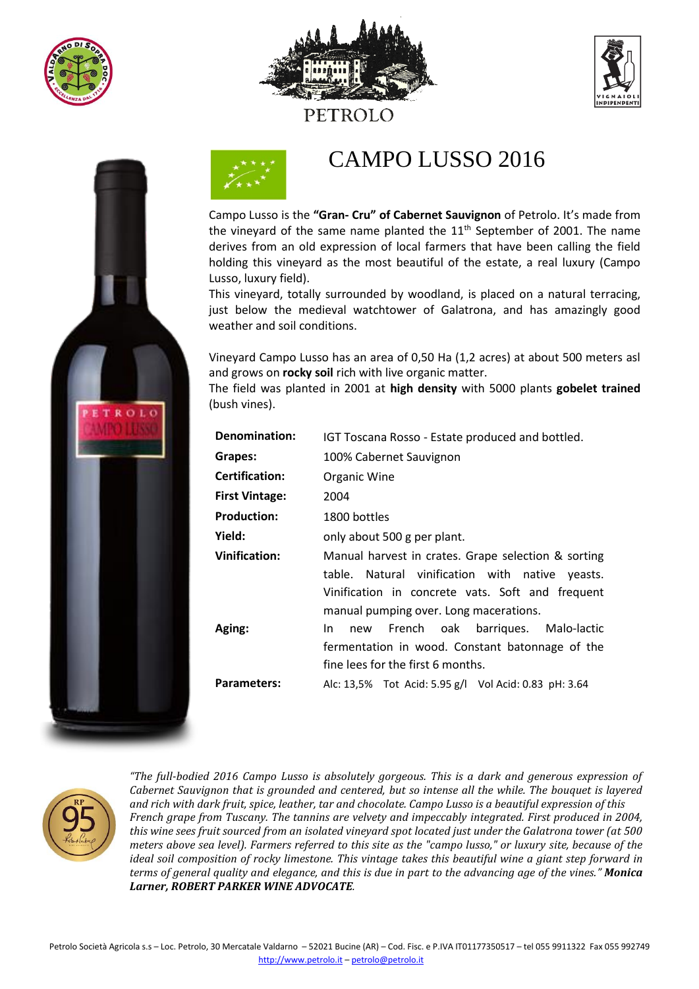



PETROLO



# CAMPO LUSSO 2016

Campo Lusso is the **"Gran- Cru" of Cabernet Sauvignon** of Petrolo. It's made from the vineyard of the same name planted the  $11<sup>th</sup>$  September of 2001. The name derives from an old expression of local farmers that have been calling the field holding this vineyard as the most beautiful of the estate, a real luxury (Campo Lusso, luxury field).

This vineyard, totally surrounded by woodland, is placed on a natural terracing, just below the medieval watchtower of Galatrona, and has amazingly good weather and soil conditions.

Vineyard Campo Lusso has an area of 0,50 Ha (1,2 acres) at about 500 meters asl and grows on **rocky soil** rich with live organic matter.

The field was planted in 2001 at **high density** with 5000 plants **gobelet trained** (bush vines).

| <b>Denomination:</b>  | IGT Toscana Rosso - Estate produced and bottled.                                                                                                                                                     |
|-----------------------|------------------------------------------------------------------------------------------------------------------------------------------------------------------------------------------------------|
| Grapes:               | 100% Cabernet Sauvignon                                                                                                                                                                              |
| <b>Certification:</b> | Organic Wine                                                                                                                                                                                         |
| <b>First Vintage:</b> | 2004                                                                                                                                                                                                 |
| <b>Production:</b>    | 1800 bottles                                                                                                                                                                                         |
| Yield:                | only about 500 g per plant.                                                                                                                                                                          |
| <b>Vinification:</b>  | Manual harvest in crates. Grape selection & sorting<br>table. Natural vinification with native yeasts.<br>Vinification in concrete vats. Soft and frequent<br>manual pumping over. Long macerations. |
| Aging:                | new French oak barriques. Malo-lactic<br>In In<br>fermentation in wood. Constant batonnage of the<br>fine lees for the first 6 months.                                                               |
| Parameters:           | Alc: 13,5% Tot Acid: 5.95 g/l Vol Acid: 0.83 pH: 3.64                                                                                                                                                |



*"The full-bodied 2016 Campo Lusso is absolutely gorgeous. This is a dark and generous expression of Cabernet Sauvignon that is grounded and centered, but so intense all the while. The bouquet is layered and rich with dark fruit, spice, leather, tar and chocolate. Campo Lusso is a beautiful expression of this French grape from Tuscany. The tannins are velvety and impeccably integrated. First produced in 2004, this wine sees fruit sourced from an isolated vineyard spot located just under the Galatrona tower (at 500 meters above sea level). Farmers referred to this site as the "campo lusso," or luxury site, because of the ideal soil composition of rocky limestone. This vintage takes this beautiful wine a giant step forward in terms of general quality and elegance, and this is due in part to the advancing age of the vines." Monica Larner, ROBERT PARKER WINE ADVOCATE.*

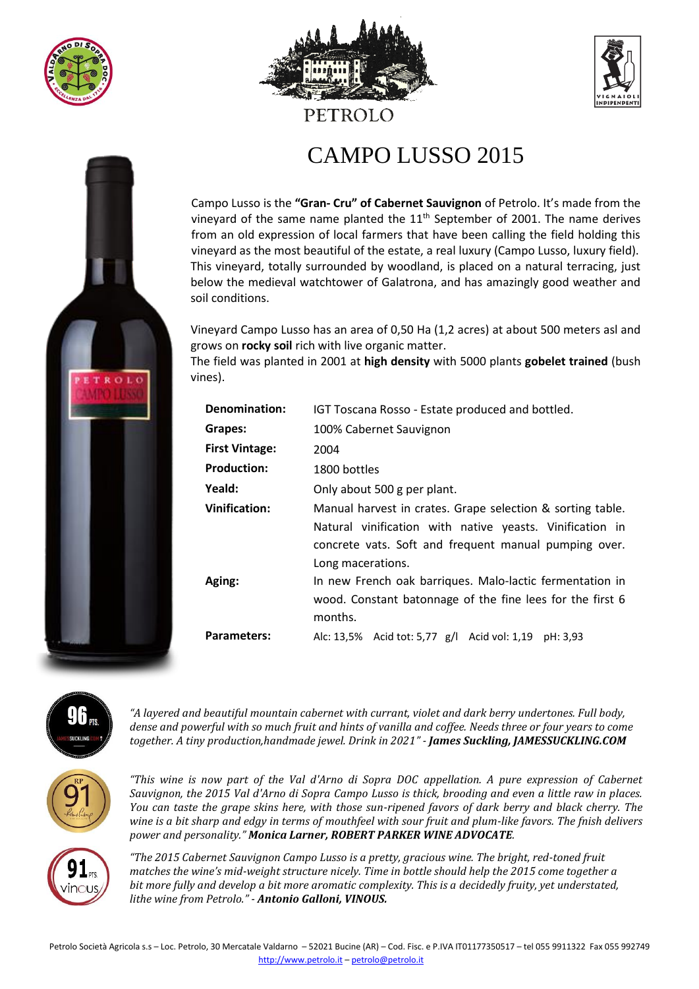

 $ROIC$ 



## PETROLO





Campo Lusso is the **"Gran- Cru" of Cabernet Sauvignon** of Petrolo. It's made from the vineyard of the same name planted the  $11<sup>th</sup>$  September of 2001. The name derives from an old expression of local farmers that have been calling the field holding this vineyard as the most beautiful of the estate, a real luxury (Campo Lusso, luxury field). This vineyard, totally surrounded by woodland, is placed on a natural terracing, just below the medieval watchtower of Galatrona, and has amazingly good weather and soil conditions.

Vineyard Campo Lusso has an area of 0,50 Ha (1,2 acres) at about 500 meters asl and grows on **rocky soil** rich with live organic matter.

The field was planted in 2001 at **high density** with 5000 plants **gobelet trained** (bush vines).

| Denomination:         | IGT Toscana Rosso - Estate produced and bottled.                                                                                                                                                     |
|-----------------------|------------------------------------------------------------------------------------------------------------------------------------------------------------------------------------------------------|
| Grapes:               | 100% Cabernet Sauvignon                                                                                                                                                                              |
| <b>First Vintage:</b> | 2004                                                                                                                                                                                                 |
| <b>Production:</b>    | 1800 bottles                                                                                                                                                                                         |
| Yeald:                | Only about 500 g per plant.                                                                                                                                                                          |
| Vinification:         | Manual harvest in crates. Grape selection & sorting table.<br>Natural vinification with native yeasts. Vinification in<br>concrete vats. Soft and frequent manual pumping over.<br>Long macerations. |
| Aging:                | In new French oak barriques. Malo-lactic fermentation in<br>wood. Constant batonnage of the fine lees for the first 6<br>months.                                                                     |
| <b>Parameters:</b>    | Alc: 13,5% Acid tot: 5,77 g/l Acid vol: 1,19 pH: 3,93                                                                                                                                                |



*"A layered and beautiful mountain cabernet with currant, violet and dark berry undertones. Full body, dense and powerful with so much fruit and hints of vanilla and coffee. Needs three or four years to come together. A tiny production,handmade jewel. Drink in 2021" - James Suckling, JAMESSUCKLING.COM*



*"This wine is now part of the Val d'Arno di Sopra DOC appellation. A pure expression of Cabernet Sauvignon, the 2015 Val d'Arno di Sopra Campo Lusso is thick, brooding and even a little raw in places. You can taste the grape skins here, with those sun-ripened favors of dark berry and black cherry. The wine is a bit sharp and edgy in terms of mouthfeel with sour fruit and plum-like favors. The fnish delivers power and personality." Monica Larner, ROBERT PARKER WINE ADVOCATE.*



*"The 2015 Cabernet Sauvignon Campo Lusso is a pretty, gracious wine. The bright, red-toned fruit matches the wine's mid-weight structure nicely. Time in bottle should help the 2015 come together a bit more fully and develop a bit more aromatic complexity. This is a decidedly fruity, yet understated, lithe wine from Petrolo." - Antonio Galloni, VINOUS.*